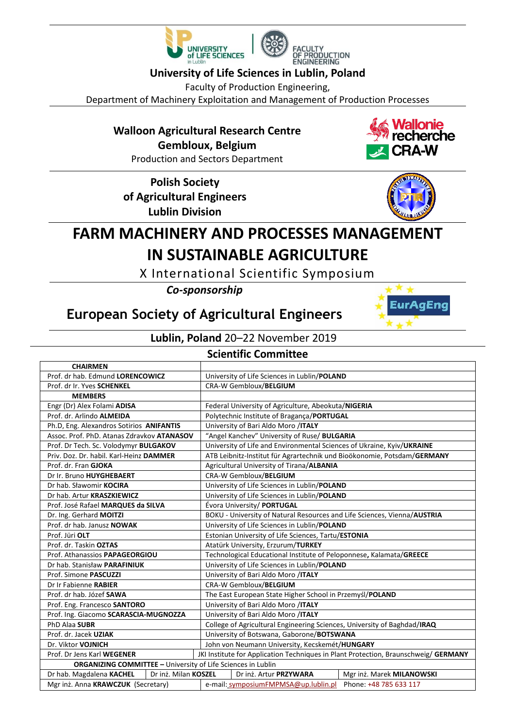



## **University of Life Sciences in Lublin, Poland**

Faculty of Production Engineering,

Department of Machinery Exploitation and Management of Production Processes

## **Walloon Agricultural Research Centre Gembloux, Belgium**

Production and Sectors Department

**Polish Society of Agricultural Engineers Lublin Division**





EurAqEnq

# **FARM MACHINERY AND PROCESSES MANAGEMENT IN SUSTAINABLE AGRICULTURE**

X International Scientific Symposium

*Co-sponsorship*

## **European Society of Agricultural Engineers**

## **Lublin, Poland** 20–22 November 2019

### **Scientific Committee**

| <b>CHAIRMEN</b>                                                     |                                                                                     |
|---------------------------------------------------------------------|-------------------------------------------------------------------------------------|
| Prof. dr hab. Edmund LORENCOWICZ                                    | University of Life Sciences in Lublin/POLAND                                        |
| Prof. dr Ir. Yves SCHENKEL                                          | <b>CRA-W Gembloux/BELGIUM</b>                                                       |
| <b>MEMBERS</b>                                                      |                                                                                     |
| Engr (Dr) Alex Folami ADISA                                         | Federal University of Agriculture, Abeokuta/NIGERIA                                 |
| Prof. dr. Arlindo ALMEIDA                                           | Polytechnic Institute of Bragança/PORTUGAL                                          |
| Ph.D, Eng. Alexandros Sotirios ANIFANTIS                            | University of Bari Aldo Moro /ITALY                                                 |
| Assoc. Prof. PhD. Atanas Zdravkov ATANASOV                          | "Angel Kanchev" University of Ruse/ BULGARIA                                        |
| Prof. Dr Tech. Sc. Volodymyr BULGAKOV                               | University of Life and Environmental Sciences of Ukraine, Kyiv/UKRAINE              |
| Priv. Doz. Dr. habil. Karl-Heinz DAMMER                             | ATB Leibnitz-Institut für Agrartechnik und Bioökonomie, Potsdam/GERMANY             |
| Prof. dr. Fran GJOKA                                                | Agricultural University of Tirana/ALBANIA                                           |
| Dr Ir. Bruno HUYGHEBAERT                                            | CRA-W Gembloux/BELGIUM                                                              |
| Dr hab. Sławomir KOCIRA                                             | University of Life Sciences in Lublin/POLAND                                        |
| Dr hab. Artur KRASZKIEWICZ                                          | University of Life Sciences in Lublin/POLAND                                        |
| Prof. José Rafael MARQUES da SILVA                                  | Évora University/ PORTUGAL                                                          |
| Dr. Ing. Gerhard MOITZI                                             | BOKU - University of Natural Resources and Life Sciences, Vienna/AUSTRIA            |
| Prof. dr hab. Janusz NOWAK                                          | University of Life Sciences in Lublin/POLAND                                        |
| Prof. Jüri OLT                                                      | Estonian University of Life Sciences, Tartu/ESTONIA                                 |
| Prof. dr. Taskin OZTAS                                              | Atatürk University, Erzurum/TURKEY                                                  |
| Prof. Athanassios PAPAGEORGIOU                                      | Technological Educational Institute of Peloponnese, Kalamata/GREECE                 |
| Dr hab. Stanisław PARAFINIUK                                        | University of Life Sciences in Lublin/POLAND                                        |
| Prof. Simone PASCUZZI                                               | University of Bari Aldo Moro /ITALY                                                 |
| Dr Ir Fabienne RABIER                                               | CRA-W Gembloux/BELGIUM                                                              |
| Prof. dr hab. Józef SAWA                                            | The East European State Higher School in Przemyśl/POLAND                            |
| Prof. Eng. Francesco SANTORO                                        | University of Bari Aldo Moro /ITALY                                                 |
| Prof. Ing. Giacomo SCARASCIA-MUGNOZZA                               | University of Bari Aldo Moro /ITALY                                                 |
| PhD Alaa SUBR                                                       | College of Agricultural Engineering Sciences, University of Baghdad/IRAQ            |
| Prof. dr. Jacek UZIAK                                               | University of Botswana, Gaborone/BOTSWANA                                           |
| Dr. Viktor VOJNICH                                                  | John von Neumann University, Kecskemét/HUNGARY                                      |
| Prof. Dr Jens Karl WEGENER                                          | JKI Institute for Application Techniques in Plant Protection, Braunschweig/ GERMANY |
| <b>ORGANIZING COMMITTEE - University of Life Sciences in Lublin</b> |                                                                                     |
| Dr hab. Magdalena KACHEL<br>Dr inż. Milan KOSZEL                    | Dr inż. Artur PRZYWARA<br>Mgr inż. Marek MILANOWSKI                                 |
| Mgr inż. Anna KRAWCZUK (Secretary)                                  | Phone: +48 785 633 117<br>e-mail: symposiumFMPMSA@up.lublin.pl                      |